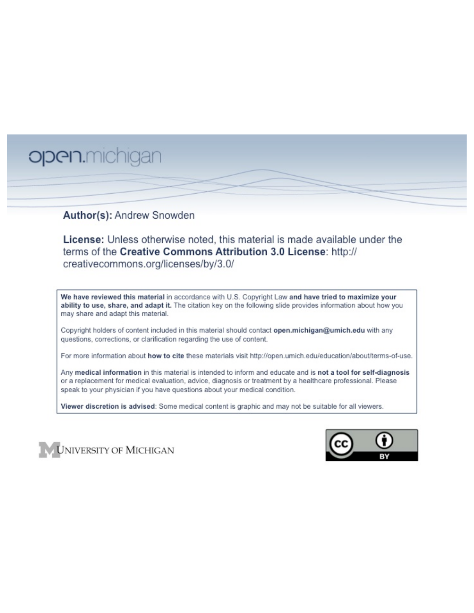# open.michigan

## Author(s): Andrew Snowden

License: Unless otherwise noted, this material is made available under the terms of the Creative Commons Attribution 3.0 License: http:// creativecommons.org/licenses/by/3.0/

We have reviewed this material in accordance with U.S. Copyright Law and have tried to maximize your ability to use, share, and adapt it. The citation key on the following slide provides information about how you may share and adapt this material.

Copyright holders of content included in this material should contact open.michigan@umich.edu with any questions, corrections, or clarification regarding the use of content.

For more information about how to cite these materials visit http://open.umich.edu/education/about/terms-of-use.

Any medical information in this material is intended to inform and educate and is not a tool for self-diagnosis or a replacement for medical evaluation, advice, diagnosis or treatment by a healthcare professional. Please speak to your physician if you have questions about your medical condition.

Viewer discretion is advised: Some medical content is graphic and may not be suitable for all viewers.



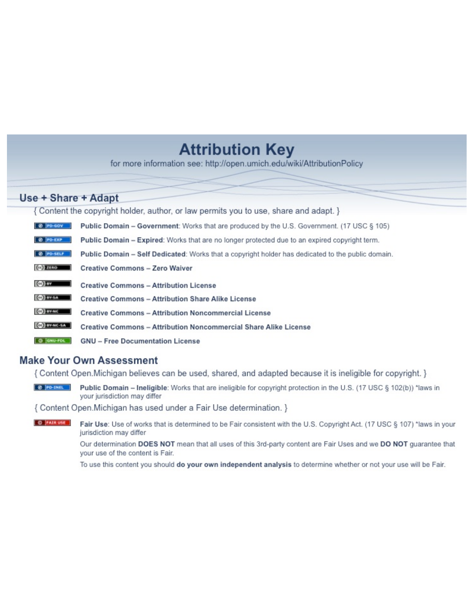## **Attribution Key**

for more information see: http://open.umich.edu/wiki/AttributionPolicy

## Use + Share + Adapt

{ Content the copyright holder, author, or law permits you to use, share and adapt. }

| @ PD-GOV                  | <b>Public Domain - Government:</b> Works that are produced by the U.S. Government. (17 USC § 105) |
|---------------------------|---------------------------------------------------------------------------------------------------|
| @ PD-EXP                  | Public Domain - Expired: Works that are no longer protected due to an expired copyright term.     |
| @ PO-SELF                 | Public Domain - Self Dedicated: Works that a copyright holder has dedicated to the public domain. |
| $(c2)$ 21110              | <b>Creative Commons - Zero Waiver</b>                                                             |
| $\left($ ce) $\right)$ my | <b>Creative Commons - Attribution License</b>                                                     |
| <b>CO</b> ITY-SA          | <b>Creative Commons - Attribution Share Alike License</b>                                         |
| <b>CO</b> BY-NC           | <b>Creative Commons - Attribution Noncommercial License</b>                                       |
| <b>CO</b> BY-NC-SA        | Creative Commons - Attribution Noncommercial Share Alike License                                  |
| GNU-FOL                   | <b>GNU - Free Documentation License</b>                                                           |

## **Make Your Own Assessment**

{ Content Open. Michigan believes can be used, shared, and adapted because it is ineligible for copyright. }

Public Domain - Ineligible: Works that are ineligible for copyright protection in the U.S. (17 USC § 102(b)) \*laws in your jurisdiction may differ

{ Content Open. Michigan has used under a Fair Use determination. }

**O** FAIR USE Fair Use: Use of works that is determined to be Fair consistent with the U.S. Copyright Act. (17 USC § 107) \*laws in your jurisdiction may differ

> Our determination DOES NOT mean that all uses of this 3rd-party content are Fair Uses and we DO NOT guarantee that your use of the content is Fair.

To use this content you should do your own independent analysis to determine whether or not your use will be Fair.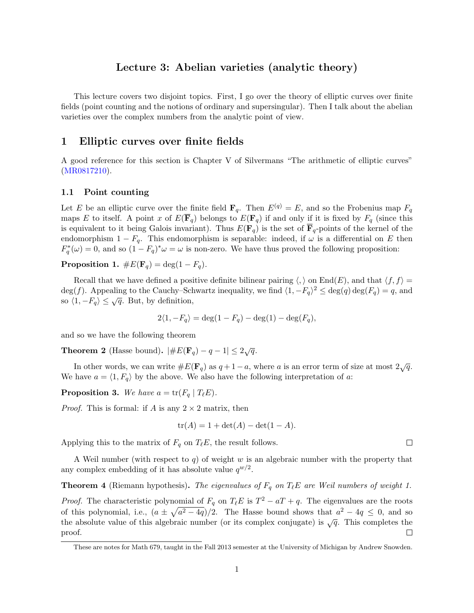## Lecture 3: Abelian varieties (analytic theory)

This lecture covers two disjoint topics. First, I go over the theory of elliptic curves over finite fields (point counting and the notions of ordinary and supersingular). Then I talk about the abelian varieties over the complex numbers from the analytic point of view.

## 1 Elliptic curves over finite fields

A good reference for this section is Chapter V of Silvermans "The arithmetic of elliptic curves" (MR0817210).

#### 1.1 Point counting

Let *E* be an elliptic curve over the finite field  $\mathbf{F}_q$ . Then  $E^{(q)} = E$ , and so the Frobenius map  $F_q$ maps *E* to itself. A point *x* of  $E(\overline{\mathbf{F}}_q)$  belongs to  $E(\mathbf{F}_q)$  if and only if it is fixed by  $F_q$  (since this is equivalent to it being Galois invariant). Thus  $E(\mathbf{F}_q)$  is the set of  $\overline{\mathbf{F}}_q$ -points of the kernel of the endomorphism  $1 - F_q$ . This endomorphism is separable: indeed, if  $\omega$  is a differential on *E* then  $F_q^*(\omega) = 0$ , and so  $(1 - F_q)^*\omega = \omega$  is non-zero. We have thus proved the following proposition:

Proposition 1.  $\#E(\mathbf{F}_q) = \deg(1 - F_q)$ .

Recall that we have defined a positive definite bilinear pairing  $\langle, \rangle$  on End(*E*), and that  $\langle f, f \rangle =$ deg(*f*). Appealing to the Cauchy–Schwartz inequality, we find  $\langle 1, -F_q \rangle^2 \leq \deg(q) \deg(F_q) = q$ , and so  $\langle 1, -F_q \rangle \leq \sqrt{q}$ . But, by definition,

$$
2\langle 1, -F_q \rangle = \deg(1 - F_q) - \deg(1) - \deg(F_q),
$$

and so we have the following theorem

**Theorem 2** (Hasse bound).  $|#E(\mathbf{F}_q) - q - 1| \leq 2\sqrt{q}$ .

In other words, we can write  $\#E(\mathbf{F}_q)$  as  $q+1-a$ , where *a* is an error term of size at most  $2\sqrt{q}$ . We have  $a = \langle 1, F_q \rangle$  by the above. We also have the following interpretation of *a*:

**Proposition 3.** We have  $a = \text{tr}(F_q | T_\ell E)$ .

*Proof.* This is formal: if *A* is any  $2 \times 2$  matrix, then

$$
tr(A) = 1 + det(A) - det(1 - A).
$$

Applying this to the matrix of  $F_q$  on  $T_\ell E$ , the result follows.

A Weil number (with respect to *q*) of weight *w* is an algebraic number with the property that any complex embedding of it has absolute value  $q^{w/2}$ .

**Theorem 4** (Riemann hypothesis). *The eigenvalues of*  $F_q$  *on*  $T_\ell E$  *are Weil numbers of weight 1.* 

*Proof.* The characteristic polynomial of  $F_q$  on  $T_{\ell}E$  is  $T^2 - aT + q$ . The eigenvalues are the roots of this polynomial, i.e.,  $(a \pm \sqrt{a^2 - 4q})/2$ . The Hasse bound shows that  $a^2 - 4q \leq 0$ , and so the absolute value of this algebraic number (or its complex conjugate) is  $\sqrt{q}$ . This completes the proof. П

 $\Box$ 

These are notes for Math 679, taught in the Fall 2013 semester at the University of Michigan by Andrew Snowden.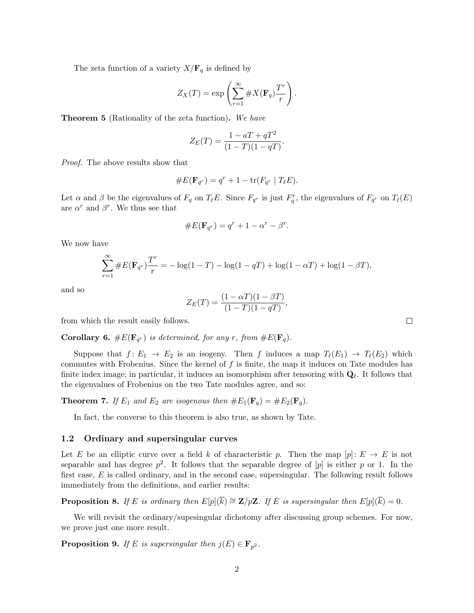The zeta function of a variety  $X/\mathbf{F}_q$  is defined by

$$
Z_X(T) = \exp\left(\sum_{r=1}^{\infty} \#X(\mathbf{F}_q)\frac{T^r}{r}\right)
$$

*.*

Theorem 5 (Rationality of the zeta function). *We have*

$$
Z_E(T) = \frac{1 - aT + qT^2}{(1 - T)(1 - qT)}.
$$

*Proof.* The above results show that

#*E*(F*q<sup>r</sup>* ) = *<sup>q</sup><sup>r</sup>* + 1 tr(*Fq<sup>r</sup> <sup>|</sup> <sup>T</sup>*`*E*)*.*

Let  $\alpha$  and  $\beta$  be the eigenvalues of  $F_q$  on  $T_\ell E$ . Since  $F_{q^r}$  is just  $F_q^r$ , the eigenvalues of  $F_{q^r}$  on  $T_\ell(E)$ are  $\alpha^r$  and  $\beta^r$ . We thus see that

#*E*(F*q<sup>r</sup>* ) = *<sup>q</sup><sup>r</sup>* + 1 ↵*<sup>r</sup> r.*

We now have

$$
\sum_{r=1}^{\infty} \# E(\mathbf{F}_{q^r}) \frac{Tr}{r} = -\log(1-T) - \log(1-qT) + \log(1-\alpha T) + \log(1-\beta T),
$$

and so

$$
Z_E(T) = \frac{(1 - \alpha T)(1 - \beta T)}{(1 - T)(1 - qT)},
$$

from which the result easily follows.

**Corollary 6.** # $E(\mathbf{F}_{q^r})$  *is determined, for any r, from #* $E(\mathbf{F}_{q})$ *.* 

Suppose that  $f: E_1 \to E_2$  is an isogeny. Then *f* induces a map  $T_{\ell}(E_1) \to T_{\ell}(E_2)$  which commutes with Frobenius. Since the kernel of *f* is finite, the map it induces on Tate modules has finite index image; in particular, it induces an isomorphism after tensoring with  $\mathbf{Q}_{\ell}$ . It follows that the eigenvalues of Frobenius on the two Tate modules agree, and so:

**Theorem 7.** If  $E_1$  and  $E_2$  are isogenous then  $\#E_1(\mathbf{F}_q) = \#E_2(\mathbf{F}_q)$ .

In fact, the converse to this theorem is also true, as shown by Tate.

#### 1.2 Ordinary and supersingular curves

Let *E* be an elliptic curve over a field *k* of characteristic *p*. Then the map  $[p]: E \to E$  is not separable and has degree  $p^2$ . It follows that the separable degree of [*p*] is either *p* or 1. In the first case, E is called ordinary, and in the second case, supersingular. The following result follows immediately from the definitions, and earlier results:

**Proposition 8.** If *E* is ordinary then  $E[p](\overline{k}) \cong \mathbf{Z}/p\mathbf{Z}$ . If *E* is supersingular then  $E[p](\overline{k}) = 0$ .

We will revisit the ordinary/supesingular dichotomy after discussing group schemes. For now, we prove just one more result.

**Proposition 9.** *If E is supersingular then*  $j(E) \in \mathbf{F}_{p^2}$ *.* 

 $\Box$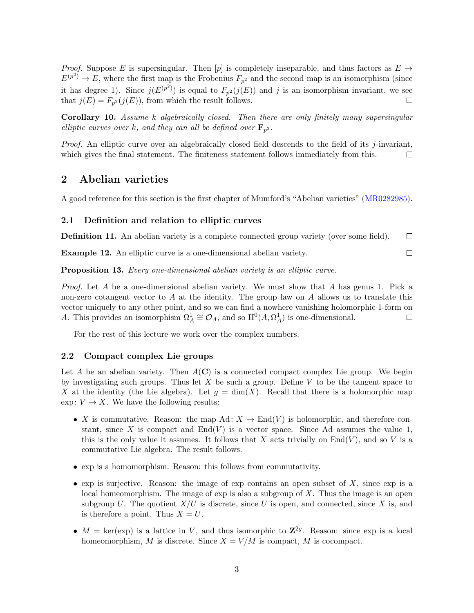*Proof.* Suppose *E* is supersingular. Then [*p*] is completely inseparable, and thus factors as  $E \rightarrow$  $E^{(p^2)} \to E$ , where the first map is the Frobenius  $F_{p^2}$  and the second map is an isomorphism (since it has degree 1). Since  $j(E^{(p^2)})$  is equal to  $F_{p^2}(j(E))$  and *j* is an isomorphism invariant, we see that  $j(E) = F_{p^2}(j(E))$ , from which the result follows. П

Corollary 10. *Assume k algebraically closed. Then there are only finitely many supersingular elliptic curves over k, and they can all be defined over*  $\mathbf{F}_{p^2}$ *.* 

*Proof.* An elliptic curve over an algebraically closed field descends to the field of its *j*-invariant, which gives the final statement. The finiteness statement follows immediately from this.  $\Box$ 

## 2 Abelian varieties

A good reference for this section is the first chapter of Mumford's "Abelian varieties" (MR0282985).

#### 2.1 Definition and relation to elliptic curves

Definition 11. An abelian variety is a complete connected group variety (over some field).  $\Box$ 

Example 12. An elliptic curve is a one-dimensional abelian variety.  $\Box$ 

Proposition 13. *Every one-dimensional abelian variety is an elliptic curve.*

*Proof.* Let *A* be a one-dimensional abelian variety. We must show that *A* has genus 1. Pick a non-zero cotangent vector to *A* at the identity. The group law on *A* allows us to translate this vector uniquely to any other point, and so we can find a nowhere vanishing holomorphic 1-form on *A*. This provides an isomorphism  $\Omega_A^1 \cong \mathcal{O}_A$ , and so  $H^0(A, \Omega_A^1)$  is one-dimensional.  $\Box$ 

For the rest of this lecture we work over the complex numbers.

#### 2.2 Compact complex Lie groups

Let *A* be an abelian variety. Then  $A(C)$  is a connected compact complex Lie group. We begin by investigating such groups. Thus let *X* be such a group. Define *V* to be the tangent space to X at the identity (the Lie algebra). Let  $g = \dim(X)$ . Recall that there is a holomorphic map  $\exp: V \to X$ . We have the following results:

- *X* is commutative. Reason: the map  $Ad: X \to End(V)$  is holomorphic, and therefore constant, since  $X$  is compact and  $End(V)$  is a vector space. Since Ad assumes the value 1, this is the only value it assumes. It follows that  $X$  acts trivially on  $End(V)$ , and so  $V$  is a commutative Lie algebra. The result follows.
- *•* exp is a homomorphism. Reason: this follows from commutativity.
- *•* exp is surjective. Reason: the image of exp contains an open subset of *X*, since exp is a local homeomorphism. The image of exp is also a subgroup of *X*. Thus the image is an open subgroup U. The quotient  $X/U$  is discrete, since U is open, and connected, since X is, and is therefore a point. Thus  $X = U$ .
- $M = \text{ker}(\exp)$  is a lattice in *V*, and thus isomorphic to  $\mathbb{Z}^{2g}$ . Reason: since  $\exp$  is a local homeomorphism, *M* is discrete. Since  $X = V/M$  is compact, *M* is cocompact.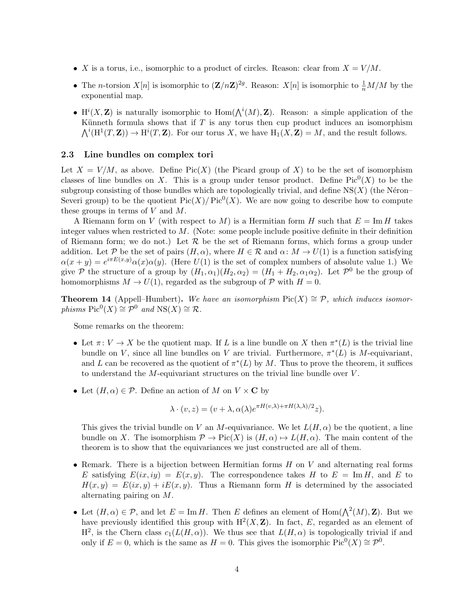- *X* is a torus, i.e., isomorphic to a product of circles. Reason: clear from  $X = V/M$ .
- The *n*-torsion  $X[n]$  is isomorphic to  $(Z/nZ)^{2g}$ . Reason:  $X[n]$  is isomorphic to  $\frac{1}{n}M/M$  by the exponential map.
- $H^{i}(X, \mathbf{Z})$  is naturally isomorphic to  $Hom(\bigwedge^{i}(M), \mathbf{Z})$ . Reason: a simple application of the Künneth formula shows that if  $T$  is any torus then cup product induces an isomorphism  $\bigwedge^i (\mathrm{H}^1(T, \mathbf{Z})) \to \mathrm{H}^i(T, \mathbf{Z})$ . For our torus X, we have  $\mathrm{H}_1(X, \mathbf{Z}) = M$ , and the result follows.

#### 2.3 Line bundles on complex tori

Let  $X = V/M$ , as above. Define Pic(X) (the Picard group of X) to be the set of isomorphism classes of line bundles on *X*. This is a group under tensor product. Define Pic<sup>0</sup>(*X*) to be the subgroup consisting of those bundles which are topologically trivial, and define  $NS(X)$  (the Néron– Severi group) to be the quotient  $Pic(X)/Pic^0(X)$ . We are now going to describe how to compute these groups in terms of *V* and *M*.

A Riemann form on *V* (with respect to *M*) is a Hermitian form *H* such that  $E = \text{Im } H$  takes integer values when restricted to *M*. (Note: some people include positive definite in their definition of Riemann form; we do not.) Let  $R$  be the set of Riemann forms, which forms a group under addition. Let P be the set of pairs  $(H, \alpha)$ , where  $H \in \mathcal{R}$  and  $\alpha: M \to U(1)$  is a function satisfying  $\alpha(x+y) = e^{i\pi E(x,y)} \alpha(x) \alpha(y)$ . (Here  $U(1)$  is the set of complex numbers of absolute value 1.) We give  $P$  the structure of a group by  $(H_1, \alpha_1)(H_2, \alpha_2) = (H_1 + H_2, \alpha_1\alpha_2)$ . Let  $P^0$  be the group of homomorphisms  $M \to U(1)$ , regarded as the subgroup of  $P$  with  $H = 0$ .

**Theorem 14** (Appell–Humbert). We have an isomorphism  $Pic(X) \cong \mathcal{P}$ , which induces isomor*phisms*  $Pic^{0}(X) \cong \mathcal{P}^{0}$  *and*  $NS(X) \cong \mathcal{R}$ *.* 

Some remarks on the theorem:

- Let  $\pi: V \to X$  be the quotient map. If *L* is a line bundle on X then  $\pi^*(L)$  is the trivial line bundle on *V*, since all line bundles on *V* are trivial. Furthermore,  $\pi^*(L)$  is *M*-equivariant, and *L* can be recovered as the quotient of  $\pi^*(L)$  by *M*. Thus to prove the theorem, it suffices to understand the *M*-equivariant structures on the trivial line bundle over *V* .
- Let  $(H, \alpha) \in \mathcal{P}$ . Define an action of *M* on  $V \times C$  by

$$
\lambda \cdot (v, z) = (v + \lambda, \alpha(\lambda) e^{\pi H(v, \lambda) + \pi H(\lambda, \lambda)/2} z).
$$

This gives the trivial bundle on *V* an *M*-equivariance. We let  $L(H, \alpha)$  be the quotient, a line bundle on X. The isomorphism  $\mathcal{P} \to \text{Pic}(X)$  is  $(H, \alpha) \mapsto L(H, \alpha)$ . The main content of the theorem is to show that the equivariances we just constructed are all of them.

- *•* Remark. There is a bijection between Hermitian forms *H* on *V* and alternating real forms *E* satisfying  $E(ix, iy) = E(x, y)$ . The correspondence takes *H* to  $E = \text{Im } H$ , and *E* to  $H(x, y) = E(ix, y) + iE(x, y)$ . Thus a Riemann form *H* is determined by the associated alternating pairing on *M*.
- Let  $(H, \alpha) \in \mathcal{P}$ , and let  $E = \text{Im } H$ . Then *E* defines an element of  $\text{Hom}(\bigwedge^2(M), \mathbf{Z})$ . But we have previously identified this group with  $H^2(X, Z)$ . In fact, *E*, regarded as an element of  $H^2$ , is the Chern class  $c_1(L(H,\alpha))$ . We thus see that  $L(H,\alpha)$  is topologically trivial if and only if  $E = 0$ , which is the same as  $H = 0$ . This gives the isomorphic  $Pic^{0}(X) \cong \mathcal{P}^{0}$ .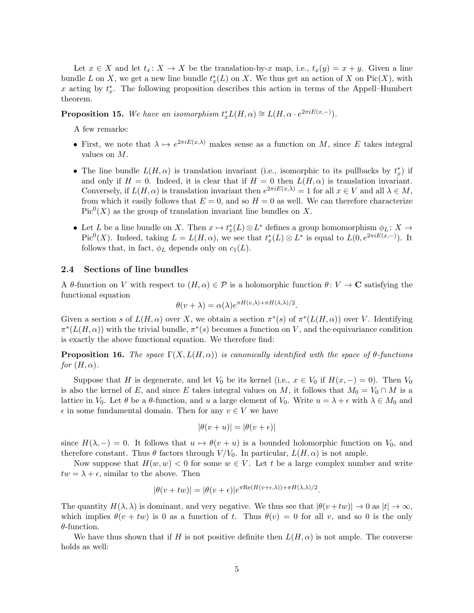Let  $x \in X$  and let  $t_x: X \to X$  be the translation-by-*x* map, i.e.,  $t_x(y) = x + y$ . Given a line bundle *L* on *X*, we get a new line bundle  $t^*_x(L)$  on *X*. We thus get an action of *X* on Pic(*X*), with x acting by  $t_x^*$ . The following proposition describes this action in terms of the Appell–Humbert theorem.

**Proposition 15.** We have an isomorphism  $t_x^*L(H, \alpha) \cong L(H, \alpha \cdot e^{2\pi i E(x, -)}).$ 

A few remarks:

- First, we note that  $\lambda \mapsto e^{2\pi i E(x,\lambda)}$  makes sense as a function on *M*, since *E* takes integral values on *M*.
- The line bundle  $L(H, \alpha)$  is translation invariant (i.e., isomorphic to its pullbacks by  $t_x^*$ ) if and only if  $H = 0$ . Indeed, it is clear that if  $H = 0$  then  $L(H, \alpha)$  is translation invariant. Conversely, if  $L(H, \alpha)$  is translation invariant then  $e^{2\pi i E(x,\lambda)} = 1$  for all  $x \in V$  and all  $\lambda \in M$ , from which it easily follows that  $E = 0$ , and so  $H = 0$  as well. We can therefore characterize  $Pic<sup>0</sup>(X)$  as the group of translation invariant line bundles on X.
- Let *L* be a line bundle on *X*. Then  $x \mapsto t_x^*(L) \otimes L^*$  defines a group homomorphism  $\phi_L: X \to$ Pic<sup>0</sup>(*X*). Indeed, taking  $L = L(H, \alpha)$ , we see that  $t_x^*(L) \otimes L^*$  is equal to  $L(0, e^{2\pi i E(x, -)})$ . It follows that, in fact,  $\phi_L$  depends only on  $c_1(L)$ .

#### 2.4 Sections of line bundles

A  $\theta$ -function on *V* with respect to  $(H, \alpha) \in \mathcal{P}$  is a holomorphic function  $\theta: V \to \mathbf{C}$  satisfying the functional equation

$$
\theta(v+\lambda) = \alpha(\lambda)e^{\pi H(v,\lambda) + \pi H(\lambda,\lambda)/2}.
$$

Given a section *s* of  $L(H, \alpha)$  over *X*, we obtain a section  $\pi^*(s)$  of  $\pi^*(L(H, \alpha))$  over *V*. Identifying  $\pi^*(L(H,\alpha))$  with the trivial bundle,  $\pi^*(s)$  becomes a function on *V*, and the equivariance condition is exactly the above functional equation. We therefore find:

**Proposition 16.** The space  $\Gamma(X, L(H, \alpha))$  is canonically identified with the space of  $\theta$ -functions *for*  $(H, \alpha)$ *.* 

Suppose that *H* is degenerate, and let  $V_0$  be its kernel (i.e.,  $x \in V_0$  if  $H(x, -) = 0$ ). Then  $V_0$ is also the kernel of *E*, and since *E* takes integral values on *M*, it follows that  $M_0 = V_0 \cap M$  is a lattice in  $V_0$ . Let  $\theta$  be a  $\theta$ -function, and  $u$  a large element of  $V_0$ . Write  $u = \lambda + \epsilon$  with  $\lambda \in M_0$  and  $\epsilon$  in some fundamental domain. Then for any  $v \in V$  we have

$$
|\theta(v+u)| = |\theta(v+\epsilon)|
$$

since  $H(\lambda, -) = 0$ . It follows that  $u \mapsto \theta(v + u)$  is a bounded holomorphic function on  $V_0$ , and therefore constant. Thus  $\theta$  factors through  $V/V_0$ . In particular,  $L(H, \alpha)$  is not ample.

Now suppose that  $H(w, w) < 0$  for some  $w \in V$ . Let t be a large complex number and write  $tw = \lambda + \epsilon$ , similar to the above. Then

$$
|\theta(v + tw)| = |\theta(v + \epsilon)|e^{\pi \text{Re}(H(v + \epsilon,\lambda)) + \pi H(\lambda,\lambda)/2}.
$$

The quantity  $H(\lambda, \lambda)$  is dominant, and very negative. We thus see that  $|\theta(v+tw)| \to 0$  as  $|t| \to \infty$ , which implies  $\theta(v + tw)$  is 0 as a function of t. Thus  $\theta(v) = 0$  for all v, and so 0 is the only  $\theta$ -function.

We have thus shown that if *H* is not positive definite then  $L(H, \alpha)$  is not ample. The converse holds as well: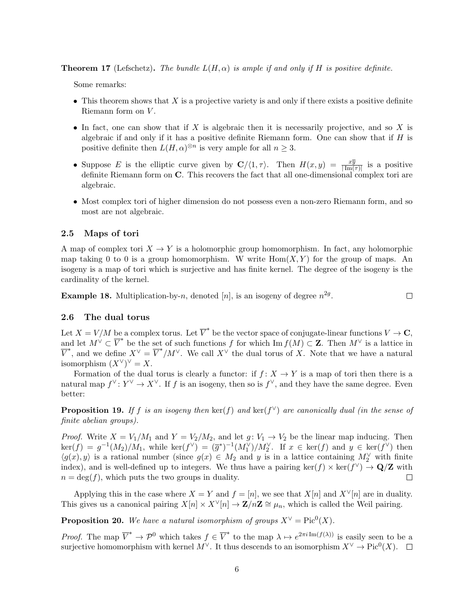**Theorem 17** (Lefschetz). The bundle  $L(H, \alpha)$  is ample if and only if H is positive definite.

Some remarks:

- This theorem shows that *X* is a projective variety is and only if there exists a positive definite Riemann form on *V* .
- *•* In fact, one can show that if *X* is algebraic then it is necessarily projective, and so *X* is algebraic if and only if it has a positive definite Riemann form. One can show that if *H* is positive definite then  $L(H, \alpha)^{\otimes n}$  is very ample for all  $n \geq 3$ .
- Suppose *E* is the elliptic curve given by  $\mathbf{C}/\langle 1, \tau \rangle$ . Then  $H(x, y) = \frac{x\overline{y}}{|\text{Im}(\tau)|}$  is a positive definite Riemann form on C. This recovers the fact that all one-dimensional complex tori are algebraic.
- Most complex tori of higher dimension do not possess even a non-zero Riemann form, and so most are not algebraic.

#### 2.5 Maps of tori

A map of complex tori  $X \to Y$  is a holomorphic group homomorphism. In fact, any holomorphic map taking 0 to 0 is a group homomorphism. W write  $Hom(X, Y)$  for the group of maps. An isogeny is a map of tori which is surjective and has finite kernel. The degree of the isogeny is the cardinality of the kernel.

**Example 18.** Multiplication-by-*n*, denoted [*n*], is an isogeny of degree  $n^{2g}$ .  $\Box$ 

#### 2.6 The dual torus

Let  $X = V/M$  be a complex torus. Let  $\overline{V}^*$  be the vector space of conjugate-linear functions  $V \to \mathbf{C}$ , and let  $M^{\vee} \subset \overline{V}^*$  be the set of such functions *f* for which Im  $f(M) \subset \mathbb{Z}$ . Then  $M^{\vee}$  is a lattice in  $\overline{V}^*$ , and we define  $X^{\vee} = \overline{V}^*/M^{\vee}$ . We call  $X^{\vee}$  the dual torus of *X*. Note that we have a natural isomorphism  $(X^{\vee})^{\vee} = X$ .

Formation of the dual torus is clearly a functor: if  $f: X \to Y$  is a map of tori then there is a natural map  $f^{\vee} : Y^{\vee} \to X^{\vee}$ . If *f* is an isogeny, then so is  $f^{\vee}$ , and they have the same degree. Even better:

**Proposition 19.** If *f* is an isogeny then ker(*f*) and ker( $f^{\vee}$ ) are canonically dual (in the sense of *finite abelian groups).*

*Proof.* Write  $X = V_1/M_1$  and  $Y = V_2/M_2$ , and let  $g: V_1 \rightarrow V_2$  be the linear map inducing. Then  $\ker(f) = g^{-1}(M_2)/M_1$ , while  $\ker(f^{\vee}) = (\overline{g}^*)^{-1}(M_1^{\vee})/M_2^{\vee}$ . If  $x \in \ker(f)$  and  $y \in \ker(f^{\vee})$  then  $\langle g(x), y \rangle$  is a rational number (since  $g(x) \in M_2$  and *y* is in a lattice containing  $M_2^{\vee}$  with finite index), and is well-defined up to integers. We thus have a pairing ker(*f*)  $\times$  ker(*f*<sup> $\vee$ </sup>)  $\to$  **Q/Z** with  $n = \deg(f)$ , which puts the two groups in duality.  $n = \deg(f)$ , which puts the two groups in duality.

Applying this in the case where  $X = Y$  and  $f = [n]$ , we see that  $X[n]$  and  $X^{\vee}[n]$  are in duality. This gives us a canonical pairing  $X[n] \times X^{\vee}[n] \to \mathbf{Z}/n\mathbf{Z} \cong \mu_n$ , which is called the Weil pairing.

**Proposition 20.** We have a natural isomorphism of groups  $X^{\vee} = Pic^0(X)$ .

*Proof.* The map  $\overline{V}^* \to \mathcal{P}^0$  which takes  $f \in \overline{V}^*$  to the map  $\lambda \mapsto e^{2\pi i \operatorname{Im}(f(\lambda))}$  is easily seen to be a surjective homomorphism with kernel  $M^{\vee}$ . It thus descends to an isomorphism  $X^{\vee} \to Pic^0(X)$ .  $\square$